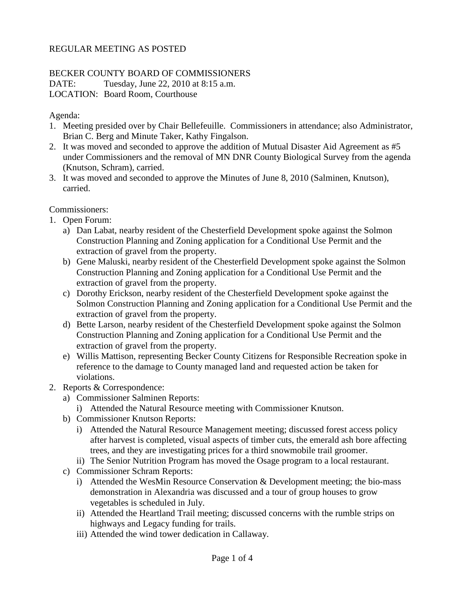## REGULAR MEETING AS POSTED

## BECKER COUNTY BOARD OF COMMISSIONERS

DATE: Tuesday, June 22, 2010 at 8:15 a.m. LOCATION: Board Room, Courthouse

Agenda:

- 1. Meeting presided over by Chair Bellefeuille. Commissioners in attendance; also Administrator, Brian C. Berg and Minute Taker, Kathy Fingalson.
- 2. It was moved and seconded to approve the addition of Mutual Disaster Aid Agreement as #5 under Commissioners and the removal of MN DNR County Biological Survey from the agenda (Knutson, Schram), carried.
- 3. It was moved and seconded to approve the Minutes of June 8, 2010 (Salminen, Knutson), carried.

Commissioners:

- 1. Open Forum:
	- a) Dan Labat, nearby resident of the Chesterfield Development spoke against the Solmon Construction Planning and Zoning application for a Conditional Use Permit and the extraction of gravel from the property.
	- b) Gene Maluski, nearby resident of the Chesterfield Development spoke against the Solmon Construction Planning and Zoning application for a Conditional Use Permit and the extraction of gravel from the property.
	- c) Dorothy Erickson, nearby resident of the Chesterfield Development spoke against the Solmon Construction Planning and Zoning application for a Conditional Use Permit and the extraction of gravel from the property.
	- d) Bette Larson, nearby resident of the Chesterfield Development spoke against the Solmon Construction Planning and Zoning application for a Conditional Use Permit and the extraction of gravel from the property.
	- e) Willis Mattison, representing Becker County Citizens for Responsible Recreation spoke in reference to the damage to County managed land and requested action be taken for violations.
- 2. Reports & Correspondence:
	- a) Commissioner Salminen Reports:
		- i) Attended the Natural Resource meeting with Commissioner Knutson.
	- b) Commissioner Knutson Reports:
		- i) Attended the Natural Resource Management meeting; discussed forest access policy after harvest is completed, visual aspects of timber cuts, the emerald ash bore affecting trees, and they are investigating prices for a third snowmobile trail groomer.
		- ii) The Senior Nutrition Program has moved the Osage program to a local restaurant.
	- c) Commissioner Schram Reports:
		- i) Attended the WesMin Resource Conservation & Development meeting; the bio-mass demonstration in Alexandria was discussed and a tour of group houses to grow vegetables is scheduled in July.
		- ii) Attended the Heartland Trail meeting; discussed concerns with the rumble strips on highways and Legacy funding for trails.
		- iii) Attended the wind tower dedication in Callaway.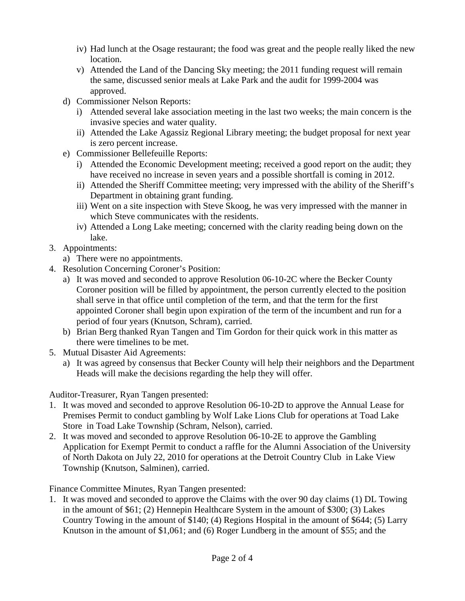- iv) Had lunch at the Osage restaurant; the food was great and the people really liked the new location.
- v) Attended the Land of the Dancing Sky meeting; the 2011 funding request will remain the same, discussed senior meals at Lake Park and the audit for 1999-2004 was approved.
- d) Commissioner Nelson Reports:
	- i) Attended several lake association meeting in the last two weeks; the main concern is the invasive species and water quality.
	- ii) Attended the Lake Agassiz Regional Library meeting; the budget proposal for next year is zero percent increase.
- e) Commissioner Bellefeuille Reports:
	- i) Attended the Economic Development meeting; received a good report on the audit; they have received no increase in seven years and a possible shortfall is coming in 2012.
	- ii) Attended the Sheriff Committee meeting; very impressed with the ability of the Sheriff's Department in obtaining grant funding.
	- iii) Went on a site inspection with Steve Skoog, he was very impressed with the manner in which Steve communicates with the residents.
	- iv) Attended a Long Lake meeting; concerned with the clarity reading being down on the lake.
- 3. Appointments:
	- a) There were no appointments.
- 4. Resolution Concerning Coroner's Position:
	- a) It was moved and seconded to approve Resolution 06-10-2C where the Becker County Coroner position will be filled by appointment, the person currently elected to the position shall serve in that office until completion of the term, and that the term for the first appointed Coroner shall begin upon expiration of the term of the incumbent and run for a period of four years (Knutson, Schram), carried.
	- b) Brian Berg thanked Ryan Tangen and Tim Gordon for their quick work in this matter as there were timelines to be met.
- 5. Mutual Disaster Aid Agreements:
	- a) It was agreed by consensus that Becker County will help their neighbors and the Department Heads will make the decisions regarding the help they will offer.

Auditor-Treasurer, Ryan Tangen presented:

- 1. It was moved and seconded to approve Resolution 06-10-2D to approve the Annual Lease for Premises Permit to conduct gambling by Wolf Lake Lions Club for operations at Toad Lake Store in Toad Lake Township (Schram, Nelson), carried.
- 2. It was moved and seconded to approve Resolution 06-10-2E to approve the Gambling Application for Exempt Permit to conduct a raffle for the Alumni Association of the University of North Dakota on July 22, 2010 for operations at the Detroit Country Club in Lake View Township (Knutson, Salminen), carried.

Finance Committee Minutes, Ryan Tangen presented:

1. It was moved and seconded to approve the Claims with the over 90 day claims (1) DL Towing in the amount of \$61; (2) Hennepin Healthcare System in the amount of \$300; (3) Lakes Country Towing in the amount of \$140; (4) Regions Hospital in the amount of \$644; (5) Larry Knutson in the amount of \$1,061; and (6) Roger Lundberg in the amount of \$55; and the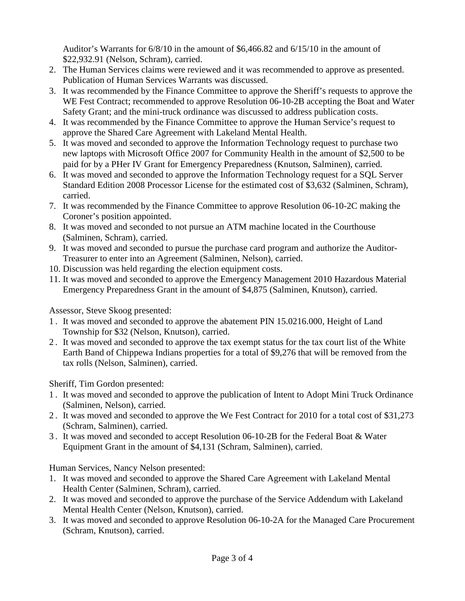Auditor's Warrants for 6/8/10 in the amount of \$6,466.82 and 6/15/10 in the amount of \$22,932.91 (Nelson, Schram), carried.

- 2. The Human Services claims were reviewed and it was recommended to approve as presented. Publication of Human Services Warrants was discussed.
- 3. It was recommended by the Finance Committee to approve the Sheriff's requests to approve the WE Fest Contract; recommended to approve Resolution 06-10-2B accepting the Boat and Water Safety Grant; and the mini-truck ordinance was discussed to address publication costs.
- 4. It was recommended by the Finance Committee to approve the Human Service's request to approve the Shared Care Agreement with Lakeland Mental Health.
- 5. It was moved and seconded to approve the Information Technology request to purchase two new laptops with Microsoft Office 2007 for Community Health in the amount of \$2,500 to be paid for by a PHer IV Grant for Emergency Preparedness (Knutson, Salminen), carried.
- 6. It was moved and seconded to approve the Information Technology request for a SQL Server Standard Edition 2008 Processor License for the estimated cost of \$3,632 (Salminen, Schram), carried.
- 7. It was recommended by the Finance Committee to approve Resolution 06-10-2C making the Coroner's position appointed.
- 8. It was moved and seconded to not pursue an ATM machine located in the Courthouse (Salminen, Schram), carried.
- 9. It was moved and seconded to pursue the purchase card program and authorize the Auditor-Treasurer to enter into an Agreement (Salminen, Nelson), carried.
- 10. Discussion was held regarding the election equipment costs.
- 11. It was moved and seconded to approve the Emergency Management 2010 Hazardous Material Emergency Preparedness Grant in the amount of \$4,875 (Salminen, Knutson), carried.

Assessor, Steve Skoog presented:

- 1 . It was moved and seconded to approve the abatement PIN 15.0216.000, Height of Land Township for \$32 (Nelson, Knutson), carried.
- 2 . It was moved and seconded to approve the tax exempt status for the tax court list of the White Earth Band of Chippewa Indians properties for a total of \$9,276 that will be removed from the tax rolls (Nelson, Salminen), carried.

Sheriff, Tim Gordon presented:

- 1 . It was moved and seconded to approve the publication of Intent to Adopt Mini Truck Ordinance (Salminen, Nelson), carried.
- 2 . It was moved and seconded to approve the We Fest Contract for 2010 for a total cost of \$31,273 (Schram, Salminen), carried.
- 3 . It was moved and seconded to accept Resolution 06-10-2B for the Federal Boat & Water Equipment Grant in the amount of \$4,131 (Schram, Salminen), carried.

Human Services, Nancy Nelson presented:

- 1. It was moved and seconded to approve the Shared Care Agreement with Lakeland Mental Health Center (Salminen, Schram), carried.
- 2. It was moved and seconded to approve the purchase of the Service Addendum with Lakeland Mental Health Center (Nelson, Knutson), carried.
- 3. It was moved and seconded to approve Resolution 06-10-2A for the Managed Care Procurement (Schram, Knutson), carried.